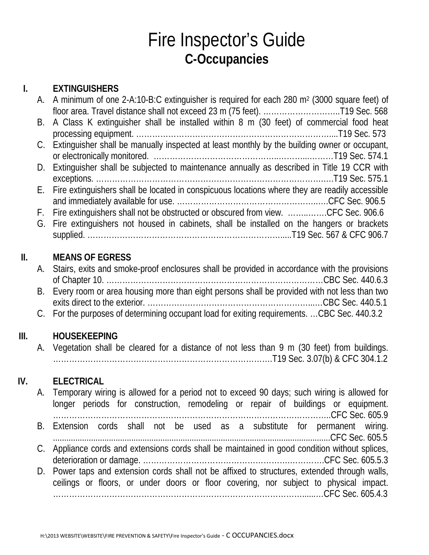## Fire Inspector's Guide **C-Occupancies**

## **I. EXTINGUISHERS**

|      |    | A. A minimum of one 2-A:10-B:C extinguisher is required for each 280 m <sup>2</sup> (3000 square feet) of           |
|------|----|---------------------------------------------------------------------------------------------------------------------|
|      |    | B. A Class K extinguisher shall be installed within 8 m (30 feet) of commercial food heat                           |
|      |    | C. Extinguisher shall be manually inspected at least monthly by the building owner or occupant,                     |
|      |    | D. Extinguisher shall be subjected to maintenance annually as described in Title 19 CCR with                        |
|      |    |                                                                                                                     |
|      | Е. | Fire extinguishers shall be located in conspicuous locations where they are readily accessible                      |
|      | F. | Fire extinguishers shall not be obstructed or obscured from view. CFC Sec. 906.6                                    |
|      | G. | Fire extinguishers not housed in cabinets, shall be installed on the hangers or brackets                            |
|      |    |                                                                                                                     |
| II.  |    | <b>MEANS OF EGRESS</b>                                                                                              |
|      |    | A. Stairs, exits and smoke-proof enclosures shall be provided in accordance with the provisions                     |
|      |    |                                                                                                                     |
|      | B. | Every room or area housing more than eight persons shall be provided with not less than two                         |
|      |    | C. For the purposes of determining occupant load for exiting requirementsCBC Sec. 440.3.2                           |
|      |    |                                                                                                                     |
| III. |    | <b>HOUSEKEEPING</b><br>A. Vegetation shall be cleared for a distance of not less than 9 m (30 feet) from buildings. |
|      |    |                                                                                                                     |
|      |    |                                                                                                                     |
|      |    | IV. ELECTRICAL<br>A. Temporary wiring is allowed for a period not to exceed 90 days; such wiring is allowed for     |
|      |    | longer periods for construction, remodeling or repair of buildings or equipment.                                    |
|      | В. | Extension cords shall not be used as a substitute for permanent wiring.                                             |
|      |    | C. Appliance cords and extensions cords shall be maintained in good condition without splices,                      |
|      |    |                                                                                                                     |
|      | D. | Power taps and extension cords shall not be affixed to structures, extended through walls,                          |
|      |    | ceilings or floors, or under doors or floor covering, nor subject to physical impact.                               |
|      |    |                                                                                                                     |